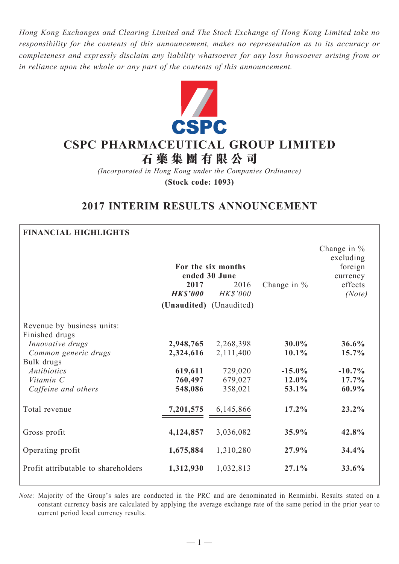*Hong Kong Exchanges and Clearing Limited and The Stock Exchange of Hong Kong Limited take no responsibility for the contents of this announcement, makes no representation as to its accuracy or completeness and expressly disclaim any liability whatsoever for any loss howsoever arising from or in reliance upon the whole or any part of the contents of this announcement.*



# **CSPC Pharmaceutical Group Limited**

**石 藥 集 團 有 限 公 司**

*(Incorporated in Hong Kong under the Companies Ordinance)* **(Stock code: 1093)**

# **2017 INTERIM RESULTS ANNOUNCEMENT**

### **Financial Highlights**

|                                              | 2017<br><b>HK\$'000</b><br>(Unaudited) (Unaudited) | For the six months<br>ended 30 June<br>2016<br><b>HK\$'000</b> | Change in $%$ | Change in %<br>excluding<br>foreign<br>currency<br>effects<br>(Note) |
|----------------------------------------------|----------------------------------------------------|----------------------------------------------------------------|---------------|----------------------------------------------------------------------|
| Revenue by business units:<br>Finished drugs |                                                    |                                                                |               |                                                                      |
| Innovative drugs                             | 2,948,765                                          | 2,268,398                                                      | 30.0%         | 36.6%                                                                |
| Common generic drugs                         | 2,324,616                                          | 2,111,400                                                      | $10.1\%$      | 15.7%                                                                |
| Bulk drugs                                   |                                                    |                                                                |               |                                                                      |
| <b>Antibiotics</b>                           | 619,611                                            | 729,020                                                        | $-15.0\%$     | $-10.7%$                                                             |
| Vitamin C                                    | 760,497                                            | 679,027                                                        | 12.0%         | 17.7%                                                                |
| Caffeine and others                          | 548,086                                            | 358,021                                                        | 53.1%         | 60.9%                                                                |
| Total revenue                                | 7,201,575                                          | 6,145,866                                                      | $17.2\%$      | $23.2\%$                                                             |
| Gross profit                                 | 4,124,857                                          | 3,036,082                                                      | 35.9%         | 42.8%                                                                |
| Operating profit                             | 1,675,884                                          | 1,310,280                                                      | 27.9%         | 34.4%                                                                |
| Profit attributable to shareholders          | 1,312,930                                          | 1,032,813                                                      | 27.1%         | 33.6%                                                                |

*Note:* Majority of the Group's sales are conducted in the PRC and are denominated in Renminbi. Results stated on a constant currency basis are calculated by applying the average exchange rate of the same period in the prior year to current period local currency results.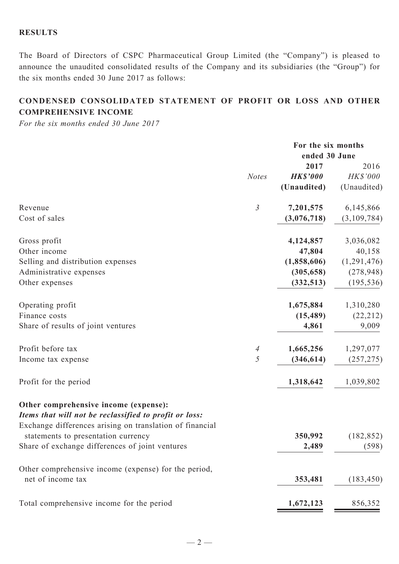# **Results**

The Board of Directors of CSPC Pharmaceutical Group Limited (the "Company") is pleased to announce the unaudited consolidated results of the Company and its subsidiaries (the "Group") for the six months ended 30 June 2017 as follows:

# **CONDENSED CONSOLIDATED STATEMENT OF PROFIT OR LOSS AND OTHER COMPREHENSIVE INCOME**

*For the six months ended 30 June 2017*

|                                                                                                                                                             | For the six months<br>ended 30 June |                 |                 |
|-------------------------------------------------------------------------------------------------------------------------------------------------------------|-------------------------------------|-----------------|-----------------|
|                                                                                                                                                             |                                     |                 |                 |
|                                                                                                                                                             |                                     | 2017            | 2016            |
|                                                                                                                                                             | <b>Notes</b>                        | <b>HK\$'000</b> | <b>HK\$'000</b> |
|                                                                                                                                                             |                                     | (Unaudited)     | (Unaudited)     |
| Revenue                                                                                                                                                     | $\mathfrak{Z}$                      | 7,201,575       | 6,145,866       |
| Cost of sales                                                                                                                                               |                                     | (3,076,718)     | (3,109,784)     |
| Gross profit                                                                                                                                                |                                     | 4,124,857       | 3,036,082       |
| Other income                                                                                                                                                |                                     | 47,804          | 40,158          |
|                                                                                                                                                             |                                     |                 |                 |
| Selling and distribution expenses                                                                                                                           |                                     | (1,858,606)     | (1,291,476)     |
| Administrative expenses                                                                                                                                     |                                     | (305, 658)      | (278, 948)      |
| Other expenses                                                                                                                                              |                                     | (332, 513)      | (195, 536)      |
| Operating profit                                                                                                                                            |                                     | 1,675,884       | 1,310,280       |
| Finance costs                                                                                                                                               |                                     | (15, 489)       | (22, 212)       |
| Share of results of joint ventures                                                                                                                          |                                     | 4,861           | 9,009           |
| Profit before tax                                                                                                                                           | $\overline{A}$                      | 1,665,256       | 1,297,077       |
| Income tax expense                                                                                                                                          | 5                                   | (346, 614)      | (257, 275)      |
|                                                                                                                                                             |                                     |                 |                 |
| Profit for the period                                                                                                                                       |                                     | 1,318,642       | 1,039,802       |
| Other comprehensive income (expense):<br>Items that will not be reclassified to profit or loss:<br>Exchange differences arising on translation of financial |                                     |                 |                 |
| statements to presentation currency                                                                                                                         |                                     | 350,992         | (182, 852)      |
| Share of exchange differences of joint ventures                                                                                                             |                                     | 2,489           | (598)           |
| Other comprehensive income (expense) for the period,<br>net of income tax                                                                                   |                                     | 353,481         | (183, 450)      |
|                                                                                                                                                             |                                     |                 |                 |
| Total comprehensive income for the period                                                                                                                   |                                     | 1,672,123       | 856,352         |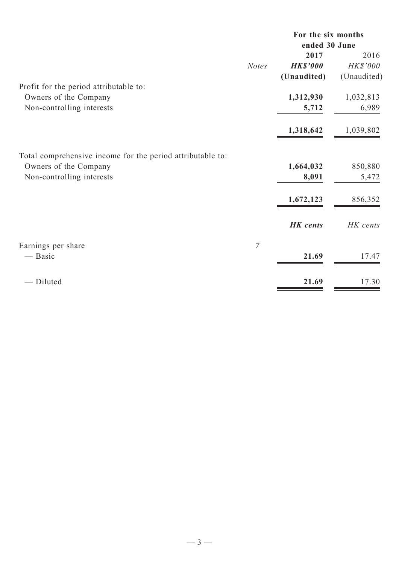| ended 30 June<br>2017<br>2016<br>HK\$'000<br><b>HK\$'000</b><br>(Unaudited)<br>(Unaudited) |
|--------------------------------------------------------------------------------------------|
|                                                                                            |
|                                                                                            |
|                                                                                            |
|                                                                                            |
|                                                                                            |
| 1,312,930<br>1,032,813                                                                     |
| 5,712<br>6,989                                                                             |
| 1,318,642<br>1,039,802                                                                     |
|                                                                                            |
| 1,664,032<br>850,880                                                                       |
| 8,091<br>5,472                                                                             |
| 1,672,123<br>856,352                                                                       |
| <b>HK</b> cents<br>HK cents                                                                |
|                                                                                            |
| 21.69<br>17.47                                                                             |
| 21.69<br>17.30                                                                             |
|                                                                                            |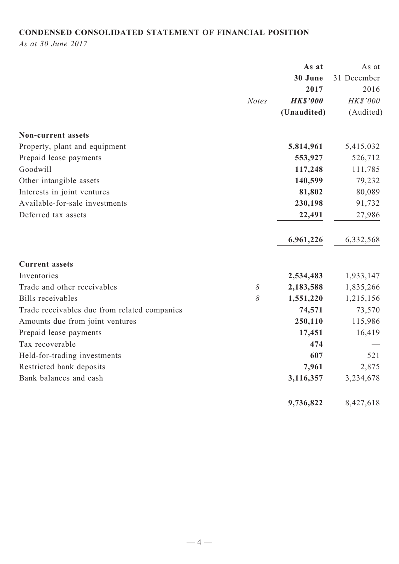# **CONDENSED CONSOLIDATED STATEMENT OF FINANCIAL POSITION**

*As at 30 June 2017*

|                                              | As at           | As at       |
|----------------------------------------------|-----------------|-------------|
|                                              | 30 June         | 31 December |
|                                              | 2017            | 2016        |
| <b>Notes</b>                                 | <b>HK\$'000</b> | HK\$'000    |
|                                              | (Unaudited)     | (Audited)   |
| <b>Non-current assets</b>                    |                 |             |
| Property, plant and equipment                | 5,814,961       | 5,415,032   |
| Prepaid lease payments                       | 553,927         | 526,712     |
| Goodwill                                     | 117,248         | 111,785     |
| Other intangible assets                      | 140,599         | 79,232      |
| Interests in joint ventures                  | 81,802          | 80,089      |
| Available-for-sale investments               | 230,198         | 91,732      |
| Deferred tax assets                          | 22,491          | 27,986      |
|                                              | 6,961,226       | 6,332,568   |
| <b>Current assets</b>                        |                 |             |
| Inventories                                  | 2,534,483       | 1,933,147   |
| Trade and other receivables<br>$\delta$      | 2,183,588       | 1,835,266   |
| <b>Bills</b> receivables<br>8                | 1,551,220       | 1,215,156   |
| Trade receivables due from related companies | 74,571          | 73,570      |
| Amounts due from joint ventures              | 250,110         | 115,986     |
| Prepaid lease payments                       | 17,451          | 16,419      |
| Tax recoverable                              | 474             |             |
| Held-for-trading investments                 | 607             | 521         |
| Restricted bank deposits                     | 7,961           | 2,875       |
| Bank balances and cash                       | 3,116,357       | 3,234,678   |
|                                              | 9,736,822       | 8,427,618   |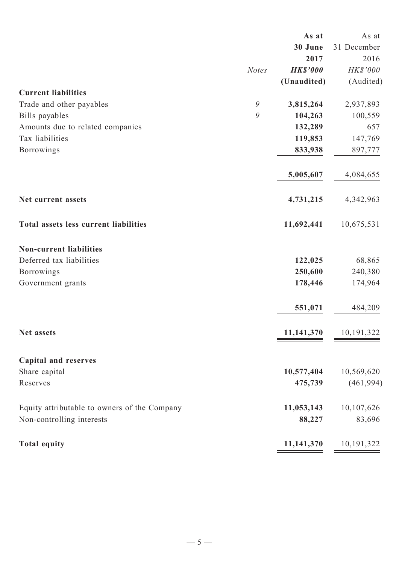| 30 June<br>31 December<br>2017<br><b>HK\$'000</b><br><b>Notes</b><br>(Unaudited)<br><b>Current liabilities</b><br>9<br>3,815,264<br>Trade and other payables<br>9<br>104,263<br>Bills payables<br>Amounts due to related companies<br>132,289<br>Tax liabilities<br>119,853<br>Borrowings<br>833,938<br>5,005,607<br>4,731,215<br>Net current assets<br>Total assets less current liabilities<br>11,692,441<br><b>Non-current liabilities</b><br>Deferred tax liabilities<br>122,025 | 2016<br>HK\$'000 |
|--------------------------------------------------------------------------------------------------------------------------------------------------------------------------------------------------------------------------------------------------------------------------------------------------------------------------------------------------------------------------------------------------------------------------------------------------------------------------------------|------------------|
|                                                                                                                                                                                                                                                                                                                                                                                                                                                                                      |                  |
|                                                                                                                                                                                                                                                                                                                                                                                                                                                                                      |                  |
|                                                                                                                                                                                                                                                                                                                                                                                                                                                                                      |                  |
|                                                                                                                                                                                                                                                                                                                                                                                                                                                                                      | (Audited)        |
|                                                                                                                                                                                                                                                                                                                                                                                                                                                                                      |                  |
|                                                                                                                                                                                                                                                                                                                                                                                                                                                                                      | 2,937,893        |
|                                                                                                                                                                                                                                                                                                                                                                                                                                                                                      | 100,559          |
|                                                                                                                                                                                                                                                                                                                                                                                                                                                                                      | 657              |
|                                                                                                                                                                                                                                                                                                                                                                                                                                                                                      | 147,769          |
|                                                                                                                                                                                                                                                                                                                                                                                                                                                                                      | 897,777          |
|                                                                                                                                                                                                                                                                                                                                                                                                                                                                                      | 4,084,655        |
|                                                                                                                                                                                                                                                                                                                                                                                                                                                                                      | 4,342,963        |
|                                                                                                                                                                                                                                                                                                                                                                                                                                                                                      | 10,675,531       |
|                                                                                                                                                                                                                                                                                                                                                                                                                                                                                      |                  |
|                                                                                                                                                                                                                                                                                                                                                                                                                                                                                      | 68,865           |
| Borrowings<br>250,600                                                                                                                                                                                                                                                                                                                                                                                                                                                                | 240,380          |
| Government grants<br>178,446                                                                                                                                                                                                                                                                                                                                                                                                                                                         | 174,964          |
| 551,071                                                                                                                                                                                                                                                                                                                                                                                                                                                                              | 484,209          |
| 11,141,370<br>Net assets                                                                                                                                                                                                                                                                                                                                                                                                                                                             | 10,191,322       |
|                                                                                                                                                                                                                                                                                                                                                                                                                                                                                      |                  |
| <b>Capital and reserves</b>                                                                                                                                                                                                                                                                                                                                                                                                                                                          |                  |
| 10,577,404<br>Share capital                                                                                                                                                                                                                                                                                                                                                                                                                                                          | 10,569,620       |
| Reserves<br>475,739                                                                                                                                                                                                                                                                                                                                                                                                                                                                  | (461, 994)       |
| 11,053,143<br>Equity attributable to owners of the Company                                                                                                                                                                                                                                                                                                                                                                                                                           | 10,107,626       |
| Non-controlling interests<br>88,227                                                                                                                                                                                                                                                                                                                                                                                                                                                  | 83,696           |
| <b>Total equity</b><br>11,141,370                                                                                                                                                                                                                                                                                                                                                                                                                                                    | 10, 191, 322     |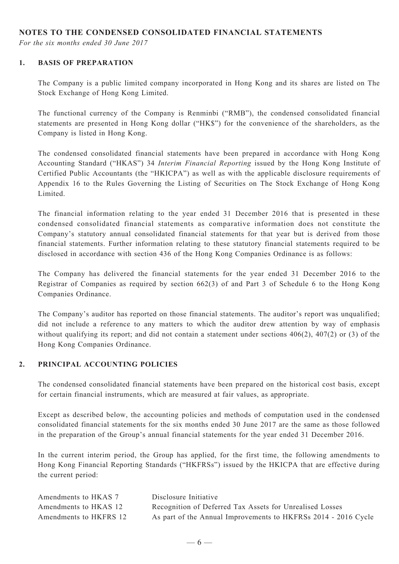#### **NOTES TO THE CONDENSED CONSOLIDATED FINANCIAL STATEMENTS**

*For the six months ended 30 June 2017*

#### **1. BASIS OF PREPARATION**

The Company is a public limited company incorporated in Hong Kong and its shares are listed on The Stock Exchange of Hong Kong Limited.

The functional currency of the Company is Renminbi ("RMB"), the condensed consolidated financial statements are presented in Hong Kong dollar ("HK\$") for the convenience of the shareholders, as the Company is listed in Hong Kong.

The condensed consolidated financial statements have been prepared in accordance with Hong Kong Accounting Standard ("HKAS") 34 *Interim Financial Reporting* issued by the Hong Kong Institute of Certified Public Accountants (the "HKICPA") as well as with the applicable disclosure requirements of Appendix 16 to the Rules Governing the Listing of Securities on The Stock Exchange of Hong Kong Limited.

The financial information relating to the year ended 31 December 2016 that is presented in these condensed consolidated financial statements as comparative information does not constitute the Company's statutory annual consolidated financial statements for that year but is derived from those financial statements. Further information relating to these statutory financial statements required to be disclosed in accordance with section 436 of the Hong Kong Companies Ordinance is as follows:

The Company has delivered the financial statements for the year ended 31 December 2016 to the Registrar of Companies as required by section 662(3) of and Part 3 of Schedule 6 to the Hong Kong Companies Ordinance.

The Company's auditor has reported on those financial statements. The auditor's report was unqualified; did not include a reference to any matters to which the auditor drew attention by way of emphasis without qualifying its report; and did not contain a statement under sections  $406(2)$ ,  $407(2)$  or (3) of the Hong Kong Companies Ordinance.

#### **2. PRINCIPAL ACCOUNTING POLICIES**

The condensed consolidated financial statements have been prepared on the historical cost basis, except for certain financial instruments, which are measured at fair values, as appropriate.

Except as described below, the accounting policies and methods of computation used in the condensed consolidated financial statements for the six months ended 30 June 2017 are the same as those followed in the preparation of the Group's annual financial statements for the year ended 31 December 2016.

In the current interim period, the Group has applied, for the first time, the following amendments to Hong Kong Financial Reporting Standards ("HKFRSs") issued by the HKICPA that are effective during the current period:

| Amendments to HKAS 7   | Disclosure Initiative                                          |
|------------------------|----------------------------------------------------------------|
| Amendments to HKAS 12  | Recognition of Deferred Tax Assets for Unrealised Losses       |
| Amendments to HKFRS 12 | As part of the Annual Improvements to HKFRSs 2014 - 2016 Cycle |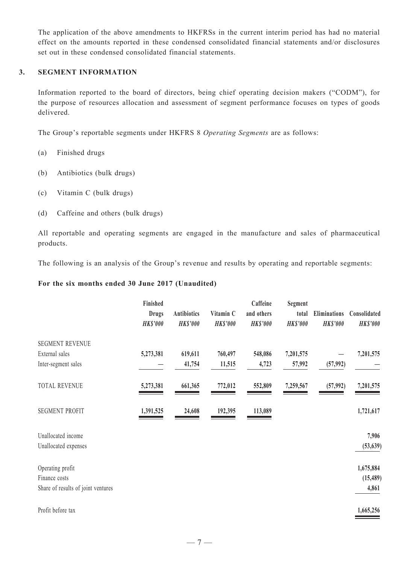The application of the above amendments to HKFRSs in the current interim period has had no material effect on the amounts reported in these condensed consolidated financial statements and/or disclosures set out in these condensed consolidated financial statements.

#### **3. SEGMENT INFORMATION**

Information reported to the board of directors, being chief operating decision makers ("CODM"), for the purpose of resources allocation and assessment of segment performance focuses on types of goods delivered.

The Group's reportable segments under HKFRS 8 *Operating Segments* are as follows:

- (a) Finished drugs
- (b) Antibiotics (bulk drugs)
- (c) Vitamin C (bulk drugs)
- (d) Caffeine and others (bulk drugs)

All reportable and operating segments are engaged in the manufacture and sales of pharmaceutical products.

The following is an analysis of the Group's revenue and results by operating and reportable segments:

#### **For the six months ended 30 June 2017 (Unaudited)**

|                                                                         | Finished<br><b>Drugs</b><br><b>HK\$'000</b> | Antibiotics<br><b>HK\$'000</b> | Vitamin C<br><b>HK\$'000</b> | Caffeine<br>and others<br><b>HK\$'000</b> | Segment<br>total<br><b>HK\$'000</b> | Eliminations<br><b>HK\$'000</b> | Consolidated<br><b>HK\$'000</b> |
|-------------------------------------------------------------------------|---------------------------------------------|--------------------------------|------------------------------|-------------------------------------------|-------------------------------------|---------------------------------|---------------------------------|
| <b>SEGMENT REVENUE</b><br>External sales<br>Inter-segment sales         | 5,273,381                                   | 619,611<br>41,754              | 760,497<br>11,515            | 548,086<br>4,723                          | 7,201,575<br>57,992                 | (57,992)                        | 7,201,575                       |
| TOTAL REVENUE                                                           | 5,273,381                                   | 661,365                        | 772,012                      | 552,809                                   | 7,259,567                           | (57, 992)                       | 7,201,575                       |
| <b>SEGMENT PROFIT</b>                                                   | 1,391,525                                   | 24,608                         | 192,395                      | 113,089                                   |                                     |                                 | 1,721,617                       |
| Unallocated income<br>Unallocated expenses                              |                                             |                                |                              |                                           |                                     |                                 | 7,906<br>(53, 639)              |
| Operating profit<br>Finance costs<br>Share of results of joint ventures |                                             |                                |                              |                                           |                                     |                                 | 1,675,884<br>(15, 489)<br>4,861 |
| Profit before tax                                                       |                                             |                                |                              |                                           |                                     |                                 | 1,665,256                       |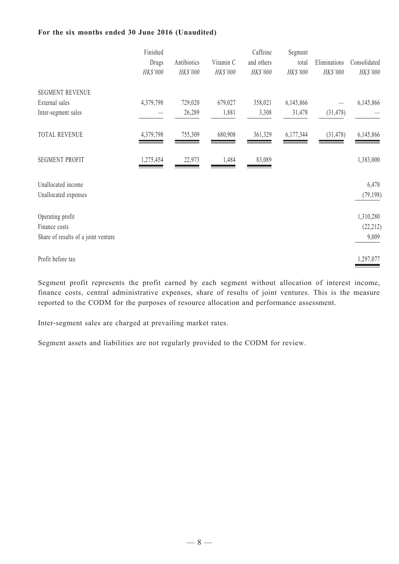#### **For the six months ended 30 June 2016 (Unaudited)**

|                                     | Finished  |             |           | Caffeine   | Segment   |              |              |
|-------------------------------------|-----------|-------------|-----------|------------|-----------|--------------|--------------|
|                                     | Drugs     | Antibiotics | Vitamin C | and others | total     | Eliminations | Consolidated |
|                                     | HK\$'000  | HK\$'000    | HK\$'000  | HK\$'000   | HK\$'000  | HK\$'000     | HK\$'000     |
| <b>SEGMENT REVENUE</b>              |           |             |           |            |           |              |              |
| External sales                      | 4,379,798 | 729,020     | 679,027   | 358,021    | 6,145,866 |              | 6,145,866    |
| Inter-segment sales                 |           | 26,289      | 1,881     | 3,308      | 31,478    | (31, 478)    |              |
| <b>TOTAL REVENUE</b>                | 4,379,798 | 755,309     | 680,908   | 361,329    | 6,177,344 | (31, 478)    | 6,145,866    |
| <b>SEGMENT PROFIT</b>               | 1,275,454 | 22,973      | 1,484     | 83,089     |           |              | 1,383,000    |
| Unallocated income                  |           |             |           |            |           |              | 6,478        |
| Unallocated expenses                |           |             |           |            |           |              | (79, 198)    |
| Operating profit                    |           |             |           |            |           |              | 1,310,280    |
| Finance costs                       |           |             |           |            |           |              | (22, 212)    |
| Share of results of a joint venture |           |             |           |            |           |              | 9,009        |
| Profit before tax                   |           |             |           |            |           |              | 1,297,077    |

Segment profit represents the profit earned by each segment without allocation of interest income, finance costs, central administrative expenses, share of results of joint ventures. This is the measure reported to the CODM for the purposes of resource allocation and performance assessment.

Inter-segment sales are charged at prevailing market rates.

Segment assets and liabilities are not regularly provided to the CODM for review.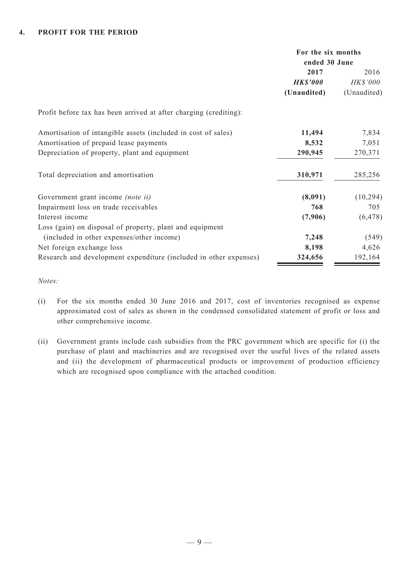|                                                                   | For the six months<br>ended 30 June |             |  |
|-------------------------------------------------------------------|-------------------------------------|-------------|--|
|                                                                   | 2017                                | 2016        |  |
|                                                                   | <b>HK\$'000</b>                     | HK\$'000    |  |
|                                                                   | (Unaudited)                         | (Unaudited) |  |
| Profit before tax has been arrived at after charging (crediting): |                                     |             |  |
| Amortisation of intangible assets (included in cost of sales)     | 11,494                              | 7,834       |  |
| Amortisation of prepaid lease payments                            | 8,532                               | 7,051       |  |
| Depreciation of property, plant and equipment                     | 290,945                             | 270,371     |  |
| Total depreciation and amortisation                               | 310,971                             | 285,256     |  |
| Government grant income <i>(note ii)</i>                          | (8,091)                             | (10, 294)   |  |
| Impairment loss on trade receivables                              | 768                                 | 705         |  |
| Interest income                                                   | (7,906)                             | (6, 478)    |  |
| Loss (gain) on disposal of property, plant and equipment          |                                     |             |  |
| (included in other expenses/other income)                         | 7,248                               | (549)       |  |
| Net foreign exchange loss                                         | 8,198                               | 4,626       |  |
| Research and development expenditure (included in other expenses) | 324,656                             | 192,164     |  |

*Notes:*

- (i) For the six months ended 30 June 2016 and 2017, cost of inventories recognised as expense approximated cost of sales as shown in the condensed consolidated statement of profit or loss and other comprehensive income.
- (ii) Government grants include cash subsidies from the PRC government which are specific for (i) the purchase of plant and machineries and are recognised over the useful lives of the related assets and (ii) the development of pharmaceutical products or improvement of production efficiency which are recognised upon compliance with the attached condition.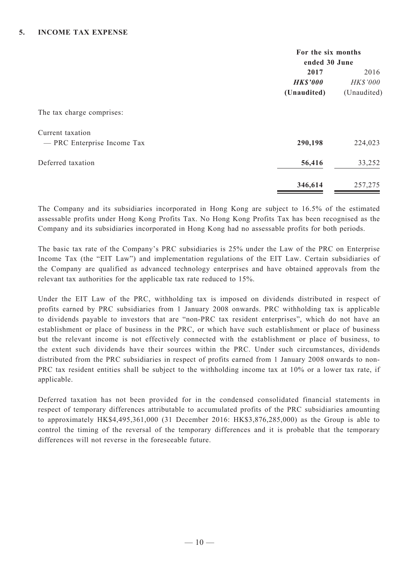|                             | For the six months |               |  |  |
|-----------------------------|--------------------|---------------|--|--|
|                             |                    | ended 30 June |  |  |
|                             | 2017               | 2016          |  |  |
|                             | <b>HK\$'000</b>    | HK\$'000      |  |  |
|                             | (Unaudited)        | (Unaudited)   |  |  |
| The tax charge comprises:   |                    |               |  |  |
| Current taxation            |                    |               |  |  |
| - PRC Enterprise Income Tax | 290,198            | 224,023       |  |  |
| Deferred taxation           | 56,416             | 33,252        |  |  |
|                             | 346,614            | 257,275       |  |  |

The Company and its subsidiaries incorporated in Hong Kong are subject to 16.5% of the estimated assessable profits under Hong Kong Profits Tax. No Hong Kong Profits Tax has been recognised as the Company and its subsidiaries incorporated in Hong Kong had no assessable profits for both periods.

The basic tax rate of the Company's PRC subsidiaries is 25% under the Law of the PRC on Enterprise Income Tax (the "EIT Law") and implementation regulations of the EIT Law. Certain subsidiaries of the Company are qualified as advanced technology enterprises and have obtained approvals from the relevant tax authorities for the applicable tax rate reduced to 15%.

Under the EIT Law of the PRC, withholding tax is imposed on dividends distributed in respect of profits earned by PRC subsidiaries from 1 January 2008 onwards. PRC withholding tax is applicable to dividends payable to investors that are "non-PRC tax resident enterprises", which do not have an establishment or place of business in the PRC, or which have such establishment or place of business but the relevant income is not effectively connected with the establishment or place of business, to the extent such dividends have their sources within the PRC. Under such circumstances, dividends distributed from the PRC subsidiaries in respect of profits earned from 1 January 2008 onwards to non-PRC tax resident entities shall be subject to the withholding income tax at 10% or a lower tax rate, if applicable.

Deferred taxation has not been provided for in the condensed consolidated financial statements in respect of temporary differences attributable to accumulated profits of the PRC subsidiaries amounting to approximately HK\$4,495,361,000 (31 December 2016: HK\$3,876,285,000) as the Group is able to control the timing of the reversal of the temporary differences and it is probable that the temporary differences will not reverse in the foreseeable future.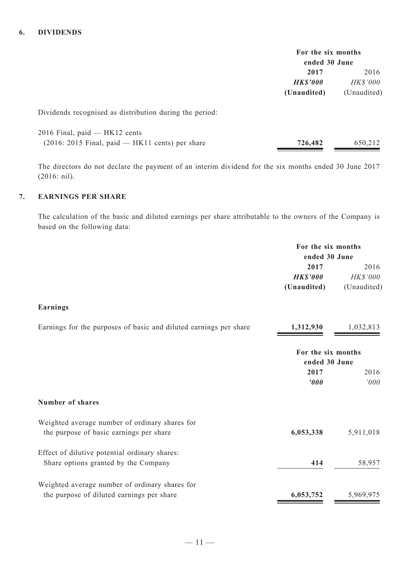|                 | For the six months<br>ended 30 June |
|-----------------|-------------------------------------|
| 2017            | 2016                                |
| <b>HK\$'000</b> | HK\$'000                            |
| (Unaudited)     | (Unaudited)                         |

Dividends recognised as distribution during the period:

| 2016 Final, paid — HK12 cents                     |         |         |
|---------------------------------------------------|---------|---------|
| $(2016: 2015$ Final, paid — HK11 cents) per share | 726,482 | 650,212 |

The directors do not declare the payment of an interim dividend for the six months ended 30 June 2017 (2016: nil).

# **7. EARNINGS PER SHARE**

The calculation of the basic and diluted earnings per share attributable to the owners of the Company is based on the following data:

|                                                                   | For the six months<br>ended 30 June |             |
|-------------------------------------------------------------------|-------------------------------------|-------------|
|                                                                   |                                     |             |
|                                                                   | 2017                                | 2016        |
|                                                                   | <b>HK\$'000</b>                     | HK\$'000    |
|                                                                   | (Unaudited)                         | (Unaudited) |
| <b>Earnings</b>                                                   |                                     |             |
| Earnings for the purposes of basic and diluted earnings per share | 1,312,930                           | 1,032,813   |
|                                                                   | For the six months<br>ended 30 June |             |
|                                                                   | 2017                                | 2016        |
|                                                                   | '000                                | '000        |
| <b>Number of shares</b>                                           |                                     |             |
| Weighted average number of ordinary shares for                    |                                     |             |
| the purpose of basic earnings per share                           | 6,053,338                           | 5,911,018   |
| Effect of dilutive potential ordinary shares:                     |                                     |             |
| Share options granted by the Company                              | 414                                 | 58,957      |
| Weighted average number of ordinary shares for                    |                                     |             |
| the purpose of diluted earnings per share                         | 6,053,752                           | 5,969,975   |
|                                                                   |                                     |             |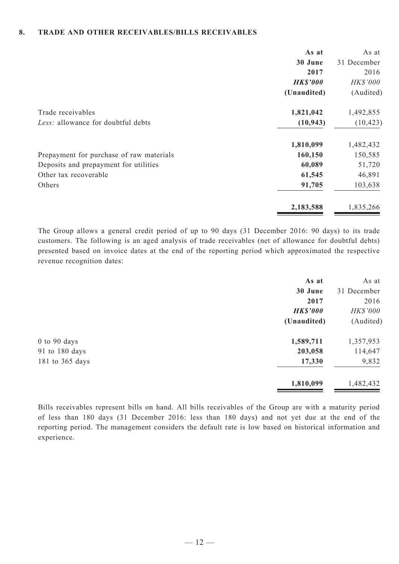#### **8. TRADE AND OTHER RECEIVABLES/BILLS RECEIVABLES**

|                                          | As at           | As at       |
|------------------------------------------|-----------------|-------------|
|                                          | 30 June         | 31 December |
|                                          | 2017            | 2016        |
|                                          | <b>HK\$'000</b> | HK\$'000    |
|                                          | (Unaudited)     | (Audited)   |
| Trade receivables                        | 1,821,042       | 1,492,855   |
| Less: allowance for doubtful debts       | (10, 943)       | (10, 423)   |
|                                          | 1,810,099       | 1,482,432   |
| Prepayment for purchase of raw materials | 160,150         | 150,585     |
| Deposits and prepayment for utilities    | 60,089          | 51,720      |
| Other tax recoverable                    | 61,545          | 46,891      |
| Others                                   | 91,705          | 103,638     |
|                                          | 2,183,588       | 1,835,266   |

The Group allows a general credit period of up to 90 days (31 December 2016: 90 days) to its trade customers. The following is an aged analysis of trade receivables (net of allowance for doubtful debts) presented based on invoice dates at the end of the reporting period which approximated the respective revenue recognition dates:

|                  | As at           | As at       |
|------------------|-----------------|-------------|
|                  | 30 June         | 31 December |
|                  | 2017            | 2016        |
|                  | <b>HK\$'000</b> | HK\$'000    |
|                  | (Unaudited)     | (Audited)   |
| $0$ to $90$ days | 1,589,711       | 1,357,953   |
| 91 to 180 days   | 203,058         | 114,647     |
| 181 to 365 days  | 17,330          | 9,832       |
|                  | 1,810,099       | 1,482,432   |

Bills receivables represent bills on hand. All bills receivables of the Group are with a maturity period of less than 180 days (31 December 2016: less than 180 days) and not yet due at the end of the reporting period. The management considers the default rate is low based on historical information and experience.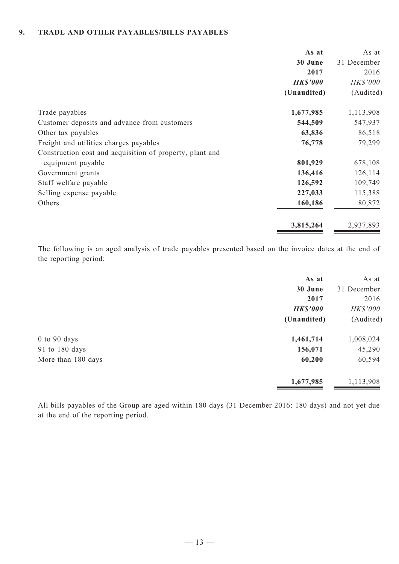#### **9. TRADE AND OTHER PAYABLES/BILLS PAYABLES**

|                                                          | As at           | As at           |
|----------------------------------------------------------|-----------------|-----------------|
|                                                          | 30 June         | 31 December     |
|                                                          | 2017            | 2016            |
|                                                          | <b>HK\$'000</b> | <b>HK\$'000</b> |
|                                                          | (Unaudited)     | (Audited)       |
| Trade payables                                           | 1,677,985       | 1,113,908       |
| Customer deposits and advance from customers             | 544,509         | 547,937         |
| Other tax payables                                       | 63,836          | 86,518          |
| Freight and utilities charges payables                   | 76,778          | 79,299          |
| Construction cost and acquisition of property, plant and |                 |                 |
| equipment payable                                        | 801,929         | 678,108         |
| Government grants                                        | 136,416         | 126,114         |
| Staff welfare payable                                    | 126,592         | 109,749         |
| Selling expense payable                                  | 227,033         | 115,388         |
| Others                                                   | 160,186         | 80,872          |
|                                                          | 3,815,264       | 2,937,893       |

The following is an aged analysis of trade payables presented based on the invoice dates at the end of the reporting period:

| As at           | As at       |
|-----------------|-------------|
| 30 June         | 31 December |
| 2017            | 2016        |
| <b>HK\$'000</b> | HK\$'000    |
| (Unaudited)     | (Audited)   |
| 1,461,714       | 1,008,024   |
| 156,071         | 45,290      |
| 60,200          | 60,594      |
| 1,677,985       | 1,113,908   |
|                 |             |

All bills payables of the Group are aged within 180 days (31 December 2016: 180 days) and not yet due at the end of the reporting period.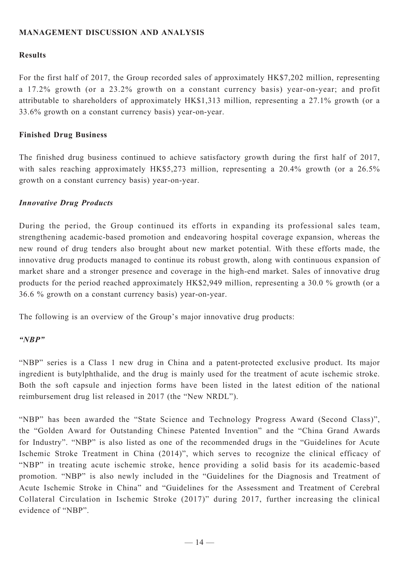# **MANAGEMENT DISCUSSION AND ANALYSIS**

### **Results**

For the first half of 2017, the Group recorded sales of approximately HK\$7,202 million, representing a 17.2% growth (or a 23.2% growth on a constant currency basis) year-on-year; and profit attributable to shareholders of approximately HK\$1,313 million, representing a 27.1% growth (or a 33.6% growth on a constant currency basis) year-on-year.

### **Finished Drug Business**

The finished drug business continued to achieve satisfactory growth during the first half of 2017, with sales reaching approximately HK\$5,273 million, representing a 20.4% growth (or a 26.5% growth on a constant currency basis) year-on-year.

#### *Innovative Drug Products*

During the period, the Group continued its efforts in expanding its professional sales team, strengthening academic-based promotion and endeavoring hospital coverage expansion, whereas the new round of drug tenders also brought about new market potential. With these efforts made, the innovative drug products managed to continue its robust growth, along with continuous expansion of market share and a stronger presence and coverage in the high-end market. Sales of innovative drug products for the period reached approximately HK\$2,949 million, representing a 30.0 % growth (or a 36.6 % growth on a constant currency basis) year-on-year.

The following is an overview of the Group's major innovative drug products:

### *"NBP"*

"NBP" series is a Class 1 new drug in China and a patent-protected exclusive product. Its major ingredient is butylphthalide, and the drug is mainly used for the treatment of acute ischemic stroke. Both the soft capsule and injection forms have been listed in the latest edition of the national reimbursement drug list released in 2017 (the "New NRDL").

"NBP" has been awarded the "State Science and Technology Progress Award (Second Class)", the "Golden Award for Outstanding Chinese Patented Invention" and the "China Grand Awards for Industry". "NBP" is also listed as one of the recommended drugs in the "Guidelines for Acute Ischemic Stroke Treatment in China (2014)", which serves to recognize the clinical efficacy of "NBP" in treating acute ischemic stroke, hence providing a solid basis for its academic-based promotion. "NBP" is also newly included in the "Guidelines for the Diagnosis and Treatment of Acute Ischemic Stroke in China" and "Guidelines for the Assessment and Treatment of Cerebral Collateral Circulation in Ischemic Stroke (2017)" during 2017, further increasing the clinical evidence of "NBP".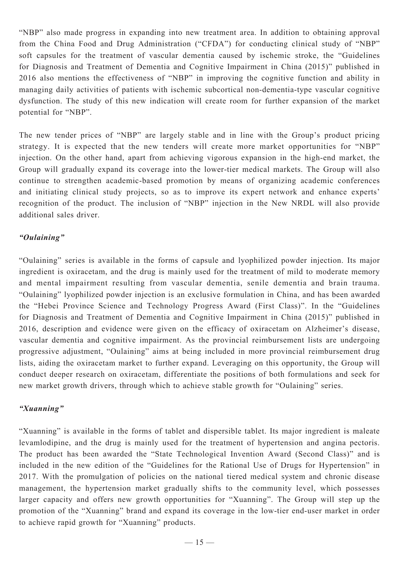"NBP" also made progress in expanding into new treatment area. In addition to obtaining approval from the China Food and Drug Administration ("CFDA") for conducting clinical study of "NBP" soft capsules for the treatment of vascular dementia caused by ischemic stroke, the "Guidelines for Diagnosis and Treatment of Dementia and Cognitive Impairment in China (2015)" published in 2016 also mentions the effectiveness of "NBP" in improving the cognitive function and ability in managing daily activities of patients with ischemic subcortical non-dementia-type vascular cognitive dysfunction. The study of this new indication will create room for further expansion of the market potential for "NBP".

The new tender prices of "NBP" are largely stable and in line with the Group's product pricing strategy. It is expected that the new tenders will create more market opportunities for "NBP" injection. On the other hand, apart from achieving vigorous expansion in the high-end market, the Group will gradually expand its coverage into the lower-tier medical markets. The Group will also continue to strengthen academic-based promotion by means of organizing academic conferences and initiating clinical study projects, so as to improve its expert network and enhance experts' recognition of the product. The inclusion of "NBP" injection in the New NRDL will also provide additional sales driver.

# *"Oulaining"*

"Oulaining" series is available in the forms of capsule and lyophilized powder injection. Its major ingredient is oxiracetam, and the drug is mainly used for the treatment of mild to moderate memory and mental impairment resulting from vascular dementia, senile dementia and brain trauma. "Oulaining" lyophilized powder injection is an exclusive formulation in China, and has been awarded the "Hebei Province Science and Technology Progress Award (First Class)". In the "Guidelines for Diagnosis and Treatment of Dementia and Cognitive Impairment in China (2015)" published in 2016, description and evidence were given on the efficacy of oxiracetam on Alzheimer's disease, vascular dementia and cognitive impairment. As the provincial reimbursement lists are undergoing progressive adjustment, "Oulaining" aims at being included in more provincial reimbursement drug lists, aiding the oxiracetam market to further expand. Leveraging on this opportunity, the Group will conduct deeper research on oxiracetam, differentiate the positions of both formulations and seek for new market growth drivers, through which to achieve stable growth for "Oulaining" series.

# *"Xuanning"*

"Xuanning" is available in the forms of tablet and dispersible tablet. Its major ingredient is maleate levamlodipine, and the drug is mainly used for the treatment of hypertension and angina pectoris. The product has been awarded the "State Technological Invention Award (Second Class)" and is included in the new edition of the "Guidelines for the Rational Use of Drugs for Hypertension" in 2017. With the promulgation of policies on the national tiered medical system and chronic disease management, the hypertension market gradually shifts to the community level, which possesses larger capacity and offers new growth opportunities for "Xuanning". The Group will step up the promotion of the "Xuanning" brand and expand its coverage in the low-tier end-user market in order to achieve rapid growth for "Xuanning" products.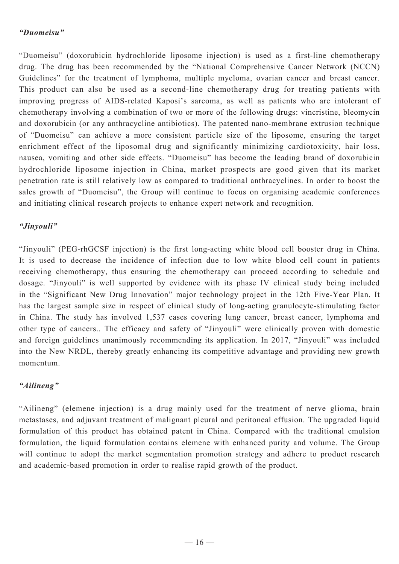# *"Duomeisu"*

"Duomeisu" (doxorubicin hydrochloride liposome injection) is used as a first-line chemotherapy drug. The drug has been recommended by the "National Comprehensive Cancer Network (NCCN) Guidelines" for the treatment of lymphoma, multiple myeloma, ovarian cancer and breast cancer. This product can also be used as a second-line chemotherapy drug for treating patients with improving progress of AIDS-related Kaposi's sarcoma, as well as patients who are intolerant of chemotherapy involving a combination of two or more of the following drugs: vincristine, bleomycin and doxorubicin (or any anthracycline antibiotics). The patented nano-membrane extrusion technique of "Duomeisu" can achieve a more consistent particle size of the liposome, ensuring the target enrichment effect of the liposomal drug and significantly minimizing cardiotoxicity, hair loss, nausea, vomiting and other side effects. "Duomeisu" has become the leading brand of doxorubicin hydrochloride liposome injection in China, market prospects are good given that its market penetration rate is still relatively low as compared to traditional anthracyclines. In order to boost the sales growth of "Duomeisu", the Group will continue to focus on organising academic conferences and initiating clinical research projects to enhance expert network and recognition.

# *"Jinyouli"*

"Jinyouli" (PEG-rhGCSF injection) is the first long-acting white blood cell booster drug in China. It is used to decrease the incidence of infection due to low white blood cell count in patients receiving chemotherapy, thus ensuring the chemotherapy can proceed according to schedule and dosage. "Jinyouli" is well supported by evidence with its phase IV clinical study being included in the "Significant New Drug Innovation" major technology project in the 12th Five-Year Plan. It has the largest sample size in respect of clinical study of long-acting granulocyte-stimulating factor in China. The study has involved 1,537 cases covering lung cancer, breast cancer, lymphoma and other type of cancers.. The efficacy and safety of "Jinyouli" were clinically proven with domestic and foreign guidelines unanimously recommending its application. In 2017, "Jinyouli" was included into the New NRDL, thereby greatly enhancing its competitive advantage and providing new growth momentum.

# *"Ailineng"*

"Ailineng" (elemene injection) is a drug mainly used for the treatment of nerve glioma, brain metastases, and adjuvant treatment of malignant pleural and peritoneal effusion. The upgraded liquid formulation of this product has obtained patent in China. Compared with the traditional emulsion formulation, the liquid formulation contains elemene with enhanced purity and volume. The Group will continue to adopt the market segmentation promotion strategy and adhere to product research and academic-based promotion in order to realise rapid growth of the product.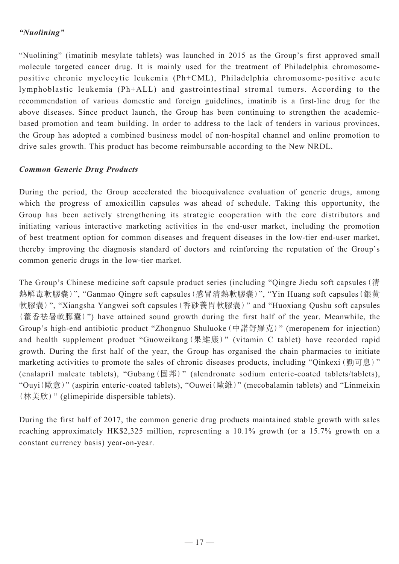# *"Nuolining"*

"Nuolining" (imatinib mesylate tablets) was launched in 2015 as the Group's first approved small molecule targeted cancer drug. It is mainly used for the treatment of Philadelphia chromosomepositive chronic myelocytic leukemia (Ph+CML), Philadelphia chromosome-positive acute lymphoblastic leukemia (Ph+ALL) and gastrointestinal stromal tumors. According to the recommendation of various domestic and foreign guidelines, imatinib is a first-line drug for the above diseases. Since product launch, the Group has been continuing to strengthen the academicbased promotion and team building. In order to address to the lack of tenders in various provinces, the Group has adopted a combined business model of non-hospital channel and online promotion to drive sales growth. This product has become reimbursable according to the New NRDL.

# *Common Generic Drug Products*

During the period, the Group accelerated the bioequivalence evaluation of generic drugs, among which the progress of amoxicillin capsules was ahead of schedule. Taking this opportunity, the Group has been actively strengthening its strategic cooperation with the core distributors and initiating various interactive marketing activities in the end-user market, including the promotion of best treatment option for common diseases and frequent diseases in the low-tier end-user market, thereby improving the diagnosis standard of doctors and reinforcing the reputation of the Group's common generic drugs in the low-tier market.

The Group's Chinese medicine soft capsule product series (including "Qingre Jiedu soft capsules(清 熱解毒軟膠囊)", "Ganmao Qingre soft capsules(感冒清熱軟膠囊)", "Yin Huang soft capsules(銀黃 軟膠囊)", "Xiangsha Yangwei soft capsules(香砂養胃軟膠囊)" and "Huoxiang Qushu soft capsules (藿香祛暑軟膠囊)") have attained sound growth during the first half of the year. Meanwhile, the Group's high-end antibiotic product "Zhongnuo Shuluoke(中諾舒羅克)" (meropenem for injection) and health supplement product "Guoweikang(果維康)" (vitamin C tablet) have recorded rapid growth. During the first half of the year, the Group has organised the chain pharmacies to initiate marketing activities to promote the sales of chronic diseases products, including "Qinkexi(勤可息)" (enalapril maleate tablets), "Gubang(固邦)" (alendronate sodium enteric-coated tablets/tablets), "Ouyi(歐意)" (aspirin enteric-coated tablets), "Ouwei(歐維)" (mecobalamin tablets) and "Linmeixin (林美欣)" (glimepiride dispersible tablets).

During the first half of 2017, the common generic drug products maintained stable growth with sales reaching approximately HK\$2,325 million, representing a 10.1% growth (or a 15.7% growth on a constant currency basis) year-on-year.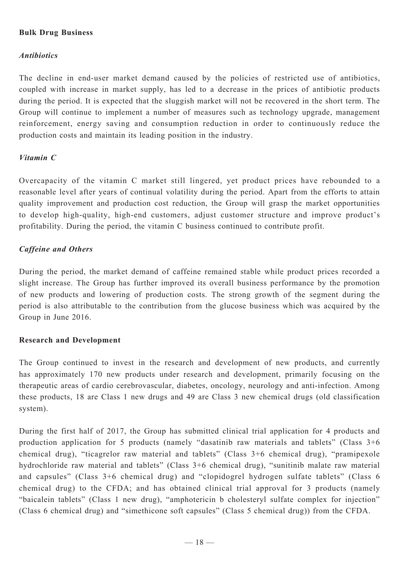# **Bulk Drug Business**

# *Antibiotics*

The decline in end-user market demand caused by the policies of restricted use of antibiotics, coupled with increase in market supply, has led to a decrease in the prices of antibiotic products during the period. It is expected that the sluggish market will not be recovered in the short term. The Group will continue to implement a number of measures such as technology upgrade, management reinforcement, energy saving and consumption reduction in order to continuously reduce the production costs and maintain its leading position in the industry.

# *Vitamin C*

Overcapacity of the vitamin C market still lingered, yet product prices have rebounded to a reasonable level after years of continual volatility during the period. Apart from the efforts to attain quality improvement and production cost reduction, the Group will grasp the market opportunities to develop high-quality, high-end customers, adjust customer structure and improve product's profitability. During the period, the vitamin C business continued to contribute profit.

# *Caffeine and Others*

During the period, the market demand of caffeine remained stable while product prices recorded a slight increase. The Group has further improved its overall business performance by the promotion of new products and lowering of production costs. The strong growth of the segment during the period is also attributable to the contribution from the glucose business which was acquired by the Group in June 2016.

### **Research and Development**

The Group continued to invest in the research and development of new products, and currently has approximately 170 new products under research and development, primarily focusing on the therapeutic areas of cardio cerebrovascular, diabetes, oncology, neurology and anti-infection. Among these products, 18 are Class 1 new drugs and 49 are Class 3 new chemical drugs (old classification system).

During the first half of 2017, the Group has submitted clinical trial application for 4 products and production application for 5 products (namely "dasatinib raw materials and tablets" (Class 3+6 chemical drug), "ticagrelor raw material and tablets" (Class 3+6 chemical drug), "pramipexole hydrochloride raw material and tablets" (Class 3+6 chemical drug), "sunitinib malate raw material and capsules" (Class 3+6 chemical drug) and "clopidogrel hydrogen sulfate tablets" (Class 6 chemical drug) to the CFDA; and has obtained clinical trial approval for 3 products (namely "baicalein tablets" (Class 1 new drug), "amphotericin b cholesteryl sulfate complex for injection" (Class 6 chemical drug) and "simethicone soft capsules" (Class 5 chemical drug)) from the CFDA.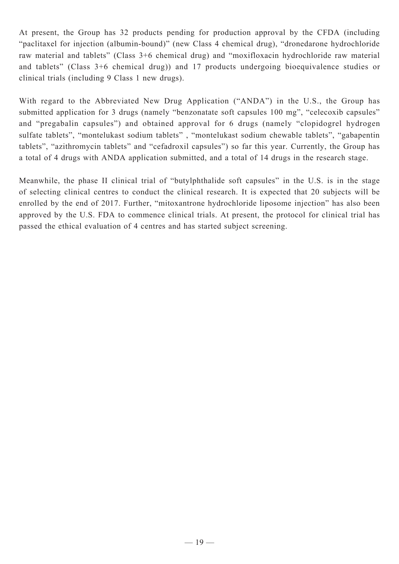At present, the Group has 32 products pending for production approval by the CFDA (including "paclitaxel for injection (albumin-bound)" (new Class 4 chemical drug), "dronedarone hydrochloride raw material and tablets" (Class 3+6 chemical drug) and "moxifloxacin hydrochloride raw material and tablets" (Class 3+6 chemical drug)) and 17 products undergoing bioequivalence studies or clinical trials (including 9 Class 1 new drugs).

With regard to the Abbreviated New Drug Application ("ANDA") in the U.S., the Group has submitted application for 3 drugs (namely "benzonatate soft capsules 100 mg", "celecoxib capsules" and "pregabalin capsules") and obtained approval for 6 drugs (namely "clopidogrel hydrogen sulfate tablets", "montelukast sodium tablets" , "montelukast sodium chewable tablets", "gabapentin tablets", "azithromycin tablets" and "cefadroxil capsules") so far this year. Currently, the Group has a total of 4 drugs with ANDA application submitted, and a total of 14 drugs in the research stage.

Meanwhile, the phase II clinical trial of "butylphthalide soft capsules" in the U.S. is in the stage of selecting clinical centres to conduct the clinical research. It is expected that 20 subjects will be enrolled by the end of 2017. Further, "mitoxantrone hydrochloride liposome injection" has also been approved by the U.S. FDA to commence clinical trials. At present, the protocol for clinical trial has passed the ethical evaluation of 4 centres and has started subject screening.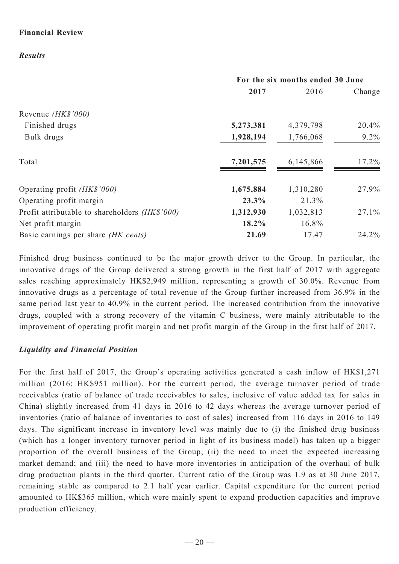# **Financial Review**

*Results*

|                                                | For the six months ended 30 June |           |         |
|------------------------------------------------|----------------------------------|-----------|---------|
|                                                | 2017                             | 2016      | Change  |
| Revenue <i>(HK\$'000)</i>                      |                                  |           |         |
| Finished drugs                                 | 5,273,381                        | 4,379,798 | 20.4%   |
| Bulk drugs                                     | 1,928,194                        | 1,766,068 | $9.2\%$ |
| Total                                          | 7,201,575                        | 6,145,866 | 17.2%   |
| Operating profit <i>(HK\$'000)</i>             | 1,675,884                        | 1,310,280 | 27.9%   |
| Operating profit margin                        | 23.3%                            | 21.3%     |         |
| Profit attributable to shareholders (HK\$'000) | 1,312,930                        | 1,032,813 | 27.1%   |
| Net profit margin                              | 18.2%                            | 16.8%     |         |
| Basic earnings per share (HK cents)            | 21.69                            | 17.47     | 24.2%   |

Finished drug business continued to be the major growth driver to the Group. In particular, the innovative drugs of the Group delivered a strong growth in the first half of 2017 with aggregate sales reaching approximately HK\$2,949 million, representing a growth of 30.0%. Revenue from innovative drugs as a percentage of total revenue of the Group further increased from 36.9% in the same period last year to 40.9% in the current period. The increased contribution from the innovative drugs, coupled with a strong recovery of the vitamin C business, were mainly attributable to the improvement of operating profit margin and net profit margin of the Group in the first half of 2017.

# *Liquidity and Financial Position*

For the first half of 2017, the Group's operating activities generated a cash inflow of HK\$1,271 million (2016: HK\$951 million). For the current period, the average turnover period of trade receivables (ratio of balance of trade receivables to sales, inclusive of value added tax for sales in China) slightly increased from 41 days in 2016 to 42 days whereas the average turnover period of inventories (ratio of balance of inventories to cost of sales) increased from 116 days in 2016 to 149 days. The significant increase in inventory level was mainly due to (i) the finished drug business (which has a longer inventory turnover period in light of its business model) has taken up a bigger proportion of the overall business of the Group; (ii) the need to meet the expected increasing market demand; and (iii) the need to have more inventories in anticipation of the overhaul of bulk drug production plants in the third quarter. Current ratio of the Group was 1.9 as at 30 June 2017, remaining stable as compared to 2.1 half year earlier. Capital expenditure for the current period amounted to HK\$365 million, which were mainly spent to expand production capacities and improve production efficiency.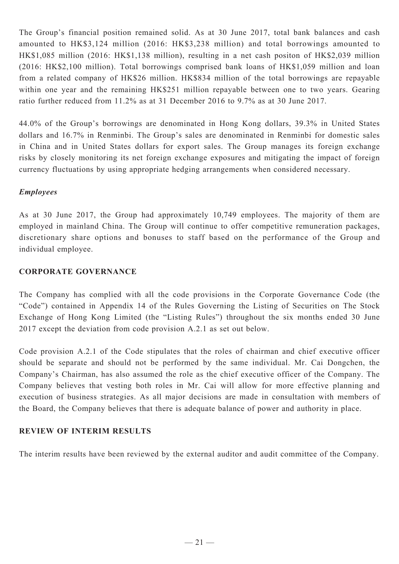The Group's financial position remained solid. As at 30 June 2017, total bank balances and cash amounted to HK\$3,124 million (2016: HK\$3,238 million) and total borrowings amounted to HK\$1,085 million (2016: HK\$1,138 million), resulting in a net cash positon of HK\$2,039 million (2016: HK\$2,100 million). Total borrowings comprised bank loans of HK\$1,059 million and loan from a related company of HK\$26 million. HK\$834 million of the total borrowings are repayable within one year and the remaining HK\$251 million repayable between one to two years. Gearing ratio further reduced from 11.2% as at 31 December 2016 to 9.7% as at 30 June 2017.

44.0% of the Group's borrowings are denominated in Hong Kong dollars, 39.3% in United States dollars and 16.7% in Renminbi. The Group's sales are denominated in Renminbi for domestic sales in China and in United States dollars for export sales. The Group manages its foreign exchange risks by closely monitoring its net foreign exchange exposures and mitigating the impact of foreign currency fluctuations by using appropriate hedging arrangements when considered necessary.

# *Employees*

As at 30 June 2017, the Group had approximately 10,749 employees. The majority of them are employed in mainland China. The Group will continue to offer competitive remuneration packages, discretionary share options and bonuses to staff based on the performance of the Group and individual employee.

### **CORPORATE GOVERNANCE**

The Company has complied with all the code provisions in the Corporate Governance Code (the "Code") contained in Appendix 14 of the Rules Governing the Listing of Securities on The Stock Exchange of Hong Kong Limited (the "Listing Rules") throughout the six months ended 30 June 2017 except the deviation from code provision A.2.1 as set out below.

Code provision A.2.1 of the Code stipulates that the roles of chairman and chief executive officer should be separate and should not be performed by the same individual. Mr. Cai Dongchen, the Company's Chairman, has also assumed the role as the chief executive officer of the Company. The Company believes that vesting both roles in Mr. Cai will allow for more effective planning and execution of business strategies. As all major decisions are made in consultation with members of the Board, the Company believes that there is adequate balance of power and authority in place.

# **REVIEW OF INTERIM RESULTS**

The interim results have been reviewed by the external auditor and audit committee of the Company.